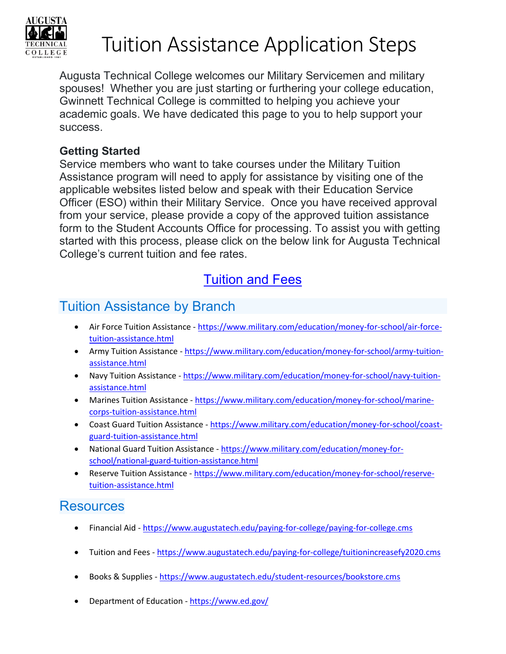

## Tuition Assistance Application Steps

Augusta Technical College welcomes our Military Servicemen and military spouses! Whether you are just starting or furthering your college education, Gwinnett Technical College is committed to helping you achieve your academic goals. We have dedicated this page to you to help support your success.

#### **Getting Started**

Service members who want to take courses under the Military Tuition Assistance program will need to apply for assistance by visiting one of the applicable websites listed below and speak with their Education Service Officer (ESO) within their Military Service. Once you have received approval from your service, please provide a copy of the approved tuition assistance form to the Student Accounts Office for processing. To assist you with getting started with this process, please click on the below link for Augusta Technical College's current tuition and fee rates.

## [Tuition and Fees](https://www.augustatech.edu/paying-for-college/tuitionincreasefy2020.cms)

## Tuition Assistance by Branch

- Air Force Tuition Assistance  [https://www.military.com/education/money-for-school/air-force](https://www.military.com/education/money-for-school/air-force-tuition-assistance.html)[tuition-assistance.html](https://www.military.com/education/money-for-school/air-force-tuition-assistance.html)
- Army Tuition Assistance  [https://www.military.com/education/money-for-school/army-tuition](https://www.military.com/education/money-for-school/army-tuition-assistance.html)[assistance.html](https://www.military.com/education/money-for-school/army-tuition-assistance.html)
- Navy Tuition Assistance  [https://www.military.com/education/money-for-school/navy-tuition](https://www.military.com/education/money-for-school/navy-tuition-assistance.html)[assistance.html](https://www.military.com/education/money-for-school/navy-tuition-assistance.html)
- Marines Tuition Assistance - [https://www.military.com/education/money-for-school/marine](https://www.military.com/education/money-for-school/marine-corps-tuition-assistance.html)[corps-tuition-assistance.html](https://www.military.com/education/money-for-school/marine-corps-tuition-assistance.html)
- Coast Guard Tuition Assistance - [https://www.military.com/education/money-for-school/coast](https://www.military.com/education/money-for-school/coast-guard-tuition-assistance.html)[guard-tuition-assistance.html](https://www.military.com/education/money-for-school/coast-guard-tuition-assistance.html)
- National Guard Tuition Assistance  [https://www.military.com/education/money-for](https://www.military.com/education/money-for-school/national-guard-tuition-assistance.html)[school/national-guard-tuition-assistance.html](https://www.military.com/education/money-for-school/national-guard-tuition-assistance.html)
- Reserve Tuition Assistance - [https://www.military.com/education/money-for-school/reserve](https://www.military.com/education/money-for-school/reserve-tuition-assistance.html)[tuition-assistance.html](https://www.military.com/education/money-for-school/reserve-tuition-assistance.html)

### **Resources**

- Financial Aid -<https://www.augustatech.edu/paying-for-college/paying-for-college.cms>
- Tuition and Fees -<https://www.augustatech.edu/paying-for-college/tuitionincreasefy2020.cms>
- Books & Supplies -<https://www.augustatech.edu/student-resources/bookstore.cms>
- Department of Education <https://www.ed.gov/>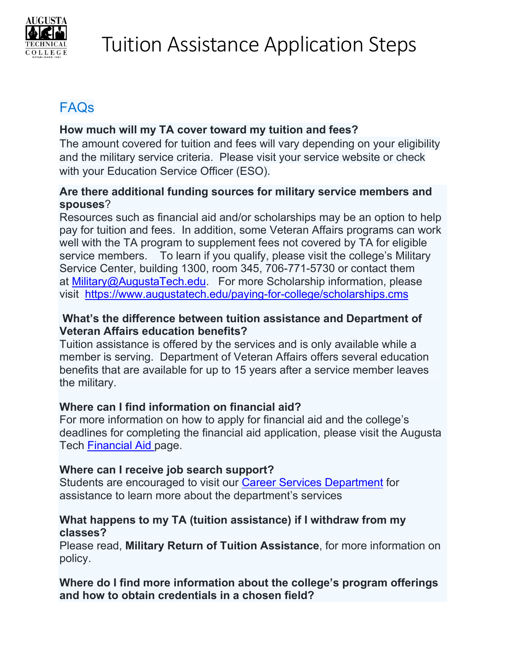

## FAQs

#### **How much will my TA cover toward my tuition and fees?**

The amount covered for tuition and fees will vary depending on your eligibility and the military service criteria. Please visit your service website or check with your Education Service Officer (ESO).

#### **Are there additional funding sources for military service members and spouses**?

Resources such as financial aid and/or scholarships may be an option to help pay for tuition and fees. In addition, some Veteran Affairs programs can work well with the TA program to supplement fees not covered by TA for eligible service members. To learn if you qualify, please visit the college's Military Service Center, building 1300, room 345, 706-771-5730 or contact them at [Military@AugustaTech.edu.](mailto:Military@AugustaTech.edu) For more Scholarship information, please visit <https://www.augustatech.edu/paying-for-college/scholarships.cms>

#### **What's the difference between tuition assistance and Department of Veteran Affairs education benefits?**

Tuition assistance is offered by the services and is only available while a member is serving. Department of Veteran Affairs offers several education benefits that are available for up to 15 years after a service member leaves the military.

#### **Where can I find information on financial aid?**

For more information on how to apply for financial aid and the college's deadlines for completing the financial aid application, please visit the Augusta Tech [Financial Aid](https://www.augustatech.edu/paying-for-college/paying-for-college.cms) page.

#### **Where can I receive job search support?**

Students are encouraged to visit our [Career Services Department](https://www.augustatech.edu/student-resources/career-services.cms) for assistance to learn more about the department's services

#### **What happens to my TA (tuition assistance) if I withdraw from my classes?**

Please read, **Military Return of Tuition Assistance**, for more information on policy.

**Where do I find more information about the college's program offerings and how to obtain credentials in a chosen field?**